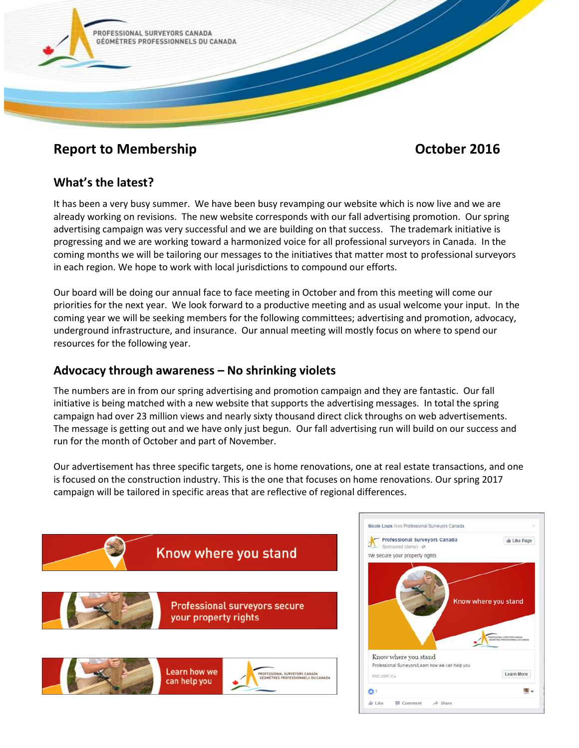

# **Report to Membership Contract Contract Contract Contract Contract Contract Contract Contract Contract Contract Contract Contract Contract Contract Contract Contract Contract Contract Contract Contract Contract Contract Co**

## **What's the latest?**

It has been a very busy summer. We have been busy revamping our website which is now live and we are already working on revisions. The new website corresponds with our fall advertising promotion. Our spring advertising campaign was very successful and we are building on that success. The trademark initiative is progressing and we are working toward a harmonized voice for all professional surveyors in Canada. In the coming months we will be tailoring our messages to the initiatives that matter most to professional surveyors in each region. We hope to work with local jurisdictions to compound our efforts.

Our board will be doing our annual face to face meeting in October and from this meeting will come our priorities for the next year. We look forward to a productive meeting and as usual welcome your input. In the coming year we will be seeking members for the following committees; advertising and promotion, advocacy, underground infrastructure, and insurance. Our annual meeting will mostly focus on where to spend our resources for the following year.

### **Advocacy through awareness – No shrinking violets**

The numbers are in from our spring advertising and promotion campaign and they are fantastic. Our fall initiative is being matched with a new website that supports the advertising messages. In total the spring campaign had over 23 million views and nearly sixty thousand direct click throughs on web advertisements. The message is getting out and we have only just begun. Our fall advertising run will build on our success and run for the month of October and part of November.

Our advertisement has three specific targets, one is home renovations, one at real estate transactions, and one is focused on the construction industry. This is the one that focuses on home renovations. Our spring 2017 campaign will be tailored in specific areas that are reflective of regional differences.